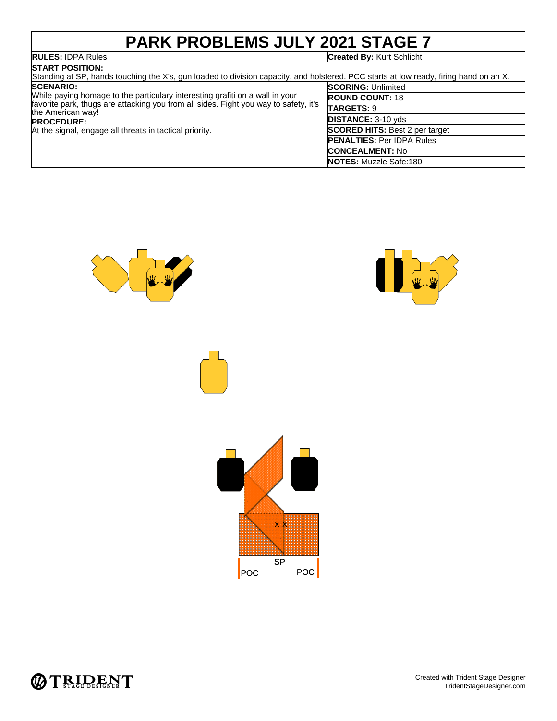# **PARK PROBLEMS JULY 2021 STAGE 7**

## **RULES: IDPA Rules**

| <b>RULES: IDPA Rules</b>                                                                                                                                                                                                                                                                      | <b>Created By: Kurt Schlicht</b>      |  |
|-----------------------------------------------------------------------------------------------------------------------------------------------------------------------------------------------------------------------------------------------------------------------------------------------|---------------------------------------|--|
| <b>ISTART POSITION:</b><br>Standing at SP, hands touching the X's, gun loaded to division capacity, and holstered. PCC starts at low ready, firing hand on an X.                                                                                                                              |                                       |  |
| <b>SCENARIO:</b><br>While paying homage to the particulary interesting grafiti on a wall in your<br>favorite park, thugs are attacking you from all sides. Fight you way to safety, it's<br>the American way!<br><b>PROCEDURE:</b><br>At the signal, engage all threats in tactical priority. | <b>SCORING: Unlimited</b>             |  |
|                                                                                                                                                                                                                                                                                               | <b>ROUND COUNT: 18</b>                |  |
|                                                                                                                                                                                                                                                                                               | <b>TARGETS: 9</b>                     |  |
|                                                                                                                                                                                                                                                                                               | <b>DISTANCE: 3-10 yds</b>             |  |
|                                                                                                                                                                                                                                                                                               | <b>SCORED HITS: Best 2 per target</b> |  |
|                                                                                                                                                                                                                                                                                               | <b>PENALTIES: Per IDPA Rules</b>      |  |
|                                                                                                                                                                                                                                                                                               | <b>CONCEALMENT: No</b>                |  |
|                                                                                                                                                                                                                                                                                               | <b>NOTES:</b> Muzzle Safe:180         |  |





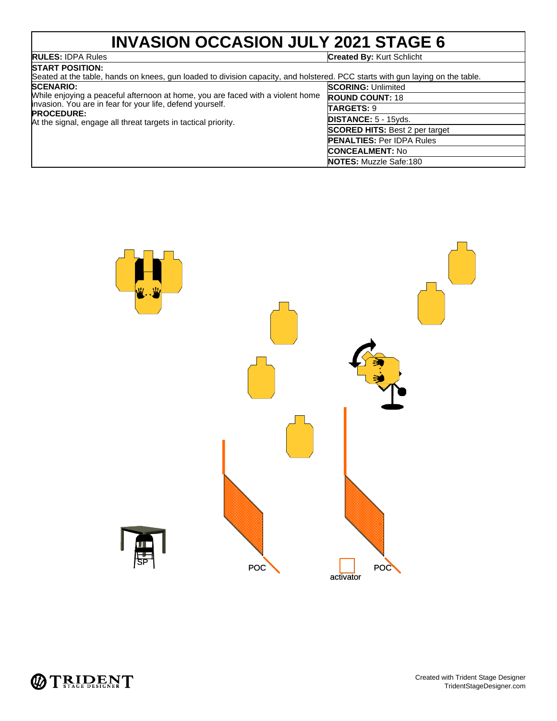# **INVASION OCCASION JULY 2021 STAGE 6**

# **RULES: IDPA Rules**<br>**START POSITION:**

#### **RULES:** IDPA Rules **Created By:** Kurt Schlicht

| DIARI FUƏHUN.<br>Seated at the table, hands on knees, gun loaded to division capacity, and holstered. PCC starts with gun laying on the table.                                                                                                         |                                       |  |
|--------------------------------------------------------------------------------------------------------------------------------------------------------------------------------------------------------------------------------------------------------|---------------------------------------|--|
| <b>SCENARIO:</b><br>While enjoying a peaceful afternoon at home, you are faced with a violent home<br>invasion. You are in fear for your life, defend yourself.<br><b>PROCEDURE:</b><br>At the signal, engage all threat targets in tactical priority. | <b>SCORING: Unlimited</b>             |  |
|                                                                                                                                                                                                                                                        | <b>ROUND COUNT: 18</b>                |  |
|                                                                                                                                                                                                                                                        | <b>TARGETS: 9</b>                     |  |
|                                                                                                                                                                                                                                                        | <b>DISTANCE: 5 - 15yds.</b>           |  |
|                                                                                                                                                                                                                                                        | <b>SCORED HITS: Best 2 per target</b> |  |
|                                                                                                                                                                                                                                                        | <b>PENALTIES: Per IDPA Rules</b>      |  |
|                                                                                                                                                                                                                                                        | <b>CONCEALMENT: No</b>                |  |
|                                                                                                                                                                                                                                                        | <b>NOTES:</b> Muzzle Safe:180         |  |



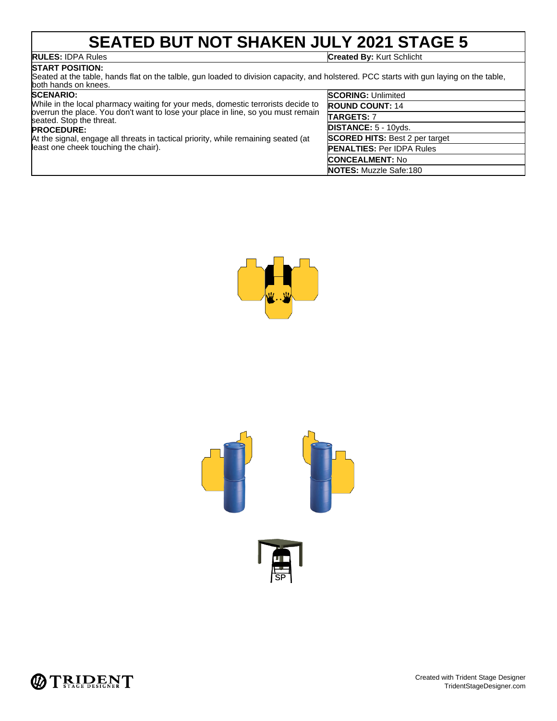## **SEATED BUT NOT SHAKEN JULY 2021 STAGE 5**

**RULES:** IDPA Rules **Created By:** Kurt Schlicht

## **START POSITION:**

Seated at the table, hands flat on the talble, gun loaded to division capacity, and holstered. PCC starts with gun laying on the table, both hands on knees. **SCORING:** Unlimited

## **SCENARIO:**

| ------------                                                                                                   | <b>UUUINIU.</b> UIIIIIIIIUU           |
|----------------------------------------------------------------------------------------------------------------|---------------------------------------|
| While in the local pharmacy waiting for your meds, domestic terrorists decide to                               | <b>ROUND COUNT: 14</b>                |
| by primar the place. You don't want to lose your place in line, so you must remain<br>seated. Stop the threat. | <b>TARGETS: 7</b>                     |
| <b>PROCEDURE:</b>                                                                                              | <b>DISTANCE: 5 - 10yds.</b>           |
| At the signal, engage all threats in tactical priority, while remaining seated (at                             | <b>SCORED HITS: Best 2 per target</b> |
| least one cheek touching the chair).                                                                           | <b>PENALTIES: Per IDPA Rules</b>      |
|                                                                                                                | <b>CONCEALMENT: No</b>                |
|                                                                                                                | <b>NOTES:</b> Muzzle Safe:180         |





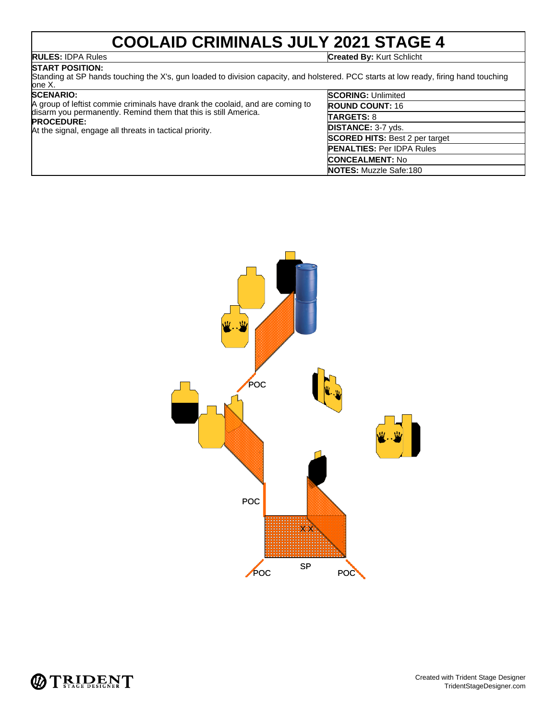## **COOLAID CRIMINALS JULY 2021 STAGE 4**

**RULES:** IDPA Rules **Created By:** Kurt Schlicht

## **START POSITION:**

Standing at SP hands touching the X's, gun loaded to division capacity, and holstered. PCC starts at low ready, firing hand touching one X.

#### **SCENARIO:**

| <b>SCENARIO:</b><br>A group of leftist commie criminals have drank the coolaid, and are coming to<br>disarm you permanently. Remind them that this is still America.<br><b>PROCEDURE:</b><br>At the signal, engage all threats in tactical priority. | <b>SCORING: Unlimited</b>             |
|------------------------------------------------------------------------------------------------------------------------------------------------------------------------------------------------------------------------------------------------------|---------------------------------------|
|                                                                                                                                                                                                                                                      | <b>ROUND COUNT: 16</b>                |
|                                                                                                                                                                                                                                                      | <b>TARGETS: 8</b>                     |
|                                                                                                                                                                                                                                                      | <b>DISTANCE: 3-7 yds.</b>             |
|                                                                                                                                                                                                                                                      | <b>SCORED HITS: Best 2 per target</b> |
|                                                                                                                                                                                                                                                      | <b>PENALTIES: Per IDPA Rules</b>      |
|                                                                                                                                                                                                                                                      | <b>CONCEALMENT: No</b>                |
|                                                                                                                                                                                                                                                      | <b>NOTES:</b> Muzzle Safe:180         |



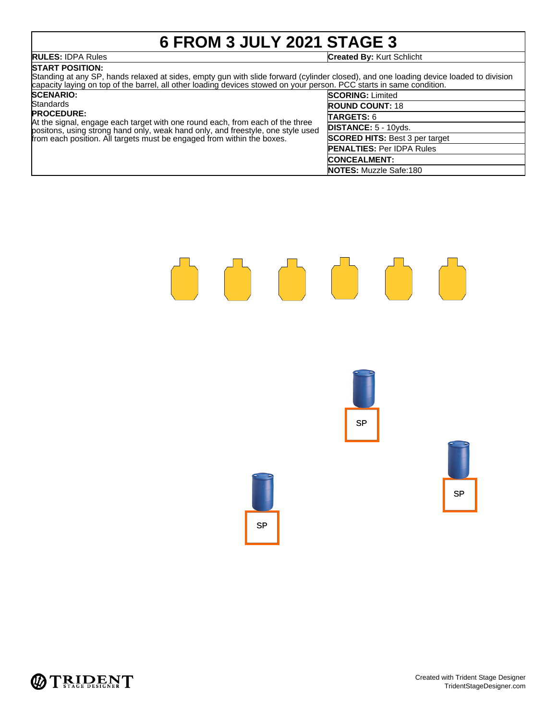# **6 FROM 3 JULY 2021 STAGE 3**

## **START POSITION:**

#### **RULES:** IDPA Rules **Created By:** Kurt Schlicht

Standing at any SP, hands relaxed at sides, empty gun with slide forward (cylinder closed), and one loading device loaded to division capacity laying on top of the barrel, all other loading devices stowed on your person. PCC starts in same condition.

#### **SCENARIO: Standards PROCEDURE:** At the signal, engage each target with one round each, from each of the three positons, using strong hand only, weak hand only, and freestyle, one style used from each position. All targets must be engaged from within the boxes. **SCORING:** Limited **ROUND COUNT:** 18 **TARGETS:** 6 **DISTANCE:** 5 - 10yds. **SCORED HITS:** Best 3 per target **PENALTIES:** Per IDPA Rules **CONCEALMENT: NOTES:** Muzzle Safe:180





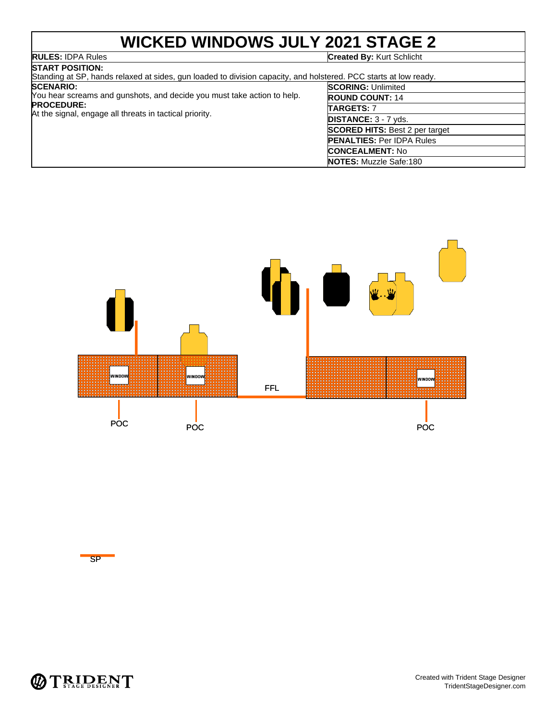# **WICKED WINDOWS JULY 2021 STAGE 2**

## **RULES:** IDPA Rules **Created By:** Kurt Schlicht

| <b>ISTART POSITION:</b><br>Standing at SP, hands relaxed at sides, gun loaded to division capacity, and holstered. PCC starts at low ready.                                 |                                       |  |  |  |
|-----------------------------------------------------------------------------------------------------------------------------------------------------------------------------|---------------------------------------|--|--|--|
| <b>SCENARIO:</b><br>You hear screams and gunshots, and decide you must take action to help.<br><b>PROCEDURE:</b><br>At the signal, engage all threats in tactical priority. | <b>SCORING: Unlimited</b>             |  |  |  |
|                                                                                                                                                                             | <b>ROUND COUNT: 14</b>                |  |  |  |
|                                                                                                                                                                             | <b>TARGETS: 7</b>                     |  |  |  |
|                                                                                                                                                                             | <b>DISTANCE:</b> $3 - 7$ yds.         |  |  |  |
|                                                                                                                                                                             | <b>SCORED HITS: Best 2 per target</b> |  |  |  |
|                                                                                                                                                                             | <b>PENALTIES: Per IDPA Rules</b>      |  |  |  |
|                                                                                                                                                                             | <b>CONCEALMENT: No</b>                |  |  |  |
|                                                                                                                                                                             | <b>NOTES:</b> Muzzle Safe:180         |  |  |  |



SP

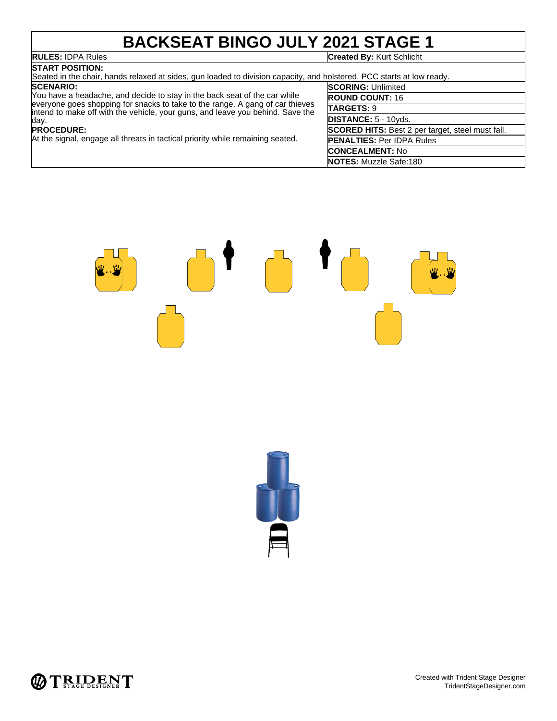# **BACKSEAT BINGO JULY 2021 STAGE 1**

**RULES:** IDPA Rules **Created By:** Kurt Schlicht

#### **START POSITION:** Seated in the chair, hands relaxed at sides, gun loaded to division capacity, and holstered. PCC starts at low ready

#### **SCENARIO:**

You have a headache, and decide to stay in the back seat of the car while everyone goes shopping for snacks to take to the range. A gang of car thieves intend to make off with the vehicle, your guns, and leave you behind. Save the day.

#### **PROCEDURE:**

At the signal, engage all threats in tactical priority while remaining seated.

| <b>SCORING: Unlimited</b>                               |  |  |
|---------------------------------------------------------|--|--|
| <b>ROUND COUNT: 16</b>                                  |  |  |
| TARGETS: 9                                              |  |  |
| DISTANCE: 5 - 10yds.                                    |  |  |
| <b>SCORED HITS:</b> Best 2 per target, steel must fall. |  |  |
| <b>PENALTIES: Per IDPA Rules</b>                        |  |  |
| <b>ICONCEALMENT: No</b>                                 |  |  |
| <b>NOTES:</b> Muzzle Safe:180                           |  |  |